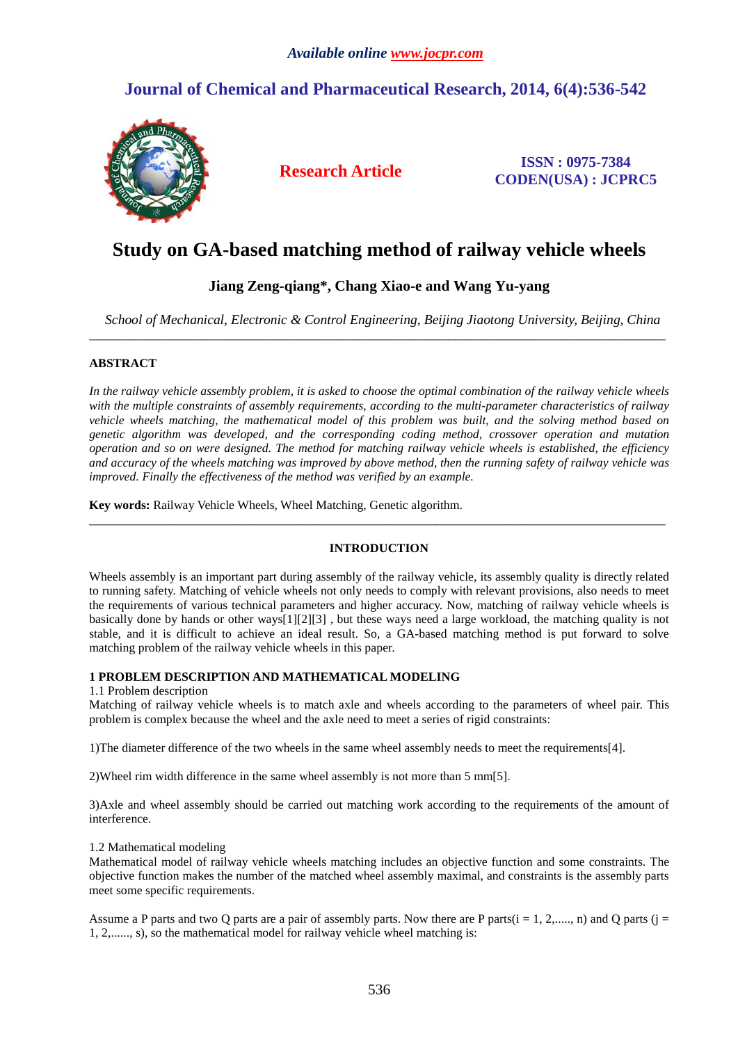## *Available online [www.jocpr.com](http://www.jocpr.com/)*

# **Journal of Chemical and Pharmaceutical Research, 2014, 6(4):536-542**



**Research Article ISSN : 0975-7384 CODEN(USA) : JCPRC5**

# **Study on GA-based matching method of railway vehicle wheels**

# **Jiang Zeng-qiang\*, Chang Xiao-e and Wang Yu-yang**

*School of Mechanical, Electronic & Control Engineering, Beijing Jiaotong University, Beijing, China* \_\_\_\_\_\_\_\_\_\_\_\_\_\_\_\_\_\_\_\_\_\_\_\_\_\_\_\_\_\_\_\_\_\_\_\_\_\_\_\_\_\_\_\_\_\_\_\_\_\_\_\_\_\_\_\_\_\_\_\_\_\_\_\_\_\_\_\_\_\_\_\_\_\_\_\_\_\_\_\_\_\_\_\_\_\_\_\_\_\_\_\_\_

## **ABSTRACT**

*In the railway vehicle assembly problem, it is asked to choose the optimal combination of the railway vehicle wheels with the multiple constraints of assembly requirements, according to the multi-parameter characteristics of railway vehicle wheels matching, the mathematical model of this problem was built, and the solving method based on genetic algorithm was developed, and the corresponding coding method, crossover operation and mutation operation and so on were designed. The method for matching railway vehicle wheels is established, the efficiency and accuracy of the wheels matching was improved by above method, then the running safety of railway vehicle was improved. Finally the effectiveness of the method was verified by an example.*

**Key words:** Railway Vehicle Wheels, Wheel Matching, Genetic algorithm.

## **INTRODUCTION**

\_\_\_\_\_\_\_\_\_\_\_\_\_\_\_\_\_\_\_\_\_\_\_\_\_\_\_\_\_\_\_\_\_\_\_\_\_\_\_\_\_\_\_\_\_\_\_\_\_\_\_\_\_\_\_\_\_\_\_\_\_\_\_\_\_\_\_\_\_\_\_\_\_\_\_\_\_\_\_\_\_\_\_\_\_\_\_\_\_\_\_\_\_

Wheels assembly is an important part during assembly of the railway vehicle, its assembly quality is directly related to running safety. Matching of vehicle wheels not only needs to comply with relevant provisions, also needs to meet the requirements of various technical parameters and higher accuracy. Now, matching of railway vehicle wheels is basically done by hands or other ways[1][2][3] , but these ways need a large workload, the matching quality is not stable, and it is difficult to achieve an ideal result. So, a GA-based matching method is put forward to solve matching problem of the railway vehicle wheels in this paper.

## **1 PROBLEM DESCRIPTION AND MATHEMATICAL MODELING**

#### 1.1 Problem description

Matching of railway vehicle wheels is to match axle and wheels according to the parameters of wheel pair. This problem is complex because the wheel and the axle need to meet a series of rigid constraints:

1)The diameter difference of the two wheels in the same wheel assembly needs to meet the requirements[4].

2)Wheel rim width difference in the same wheel assembly is not more than 5 mm[5].

3)Axle and wheel assembly should be carried out matching work according to the requirements of the amount of interference.

## 1.2 Mathematical modeling

Mathematical model of railway vehicle wheels matching includes an objective function and some constraints. The objective function makes the number of the matched wheel assembly maximal, and constraints is the assembly parts meet some specific requirements.

Assume a P parts and two Q parts are a pair of assembly parts. Now there are P parts $(i = 1, 2, \ldots, n)$  and Q parts  $(j = 1, 2, \ldots, n)$ 1, 2,......, s), so the mathematical model for railway vehicle wheel matching is: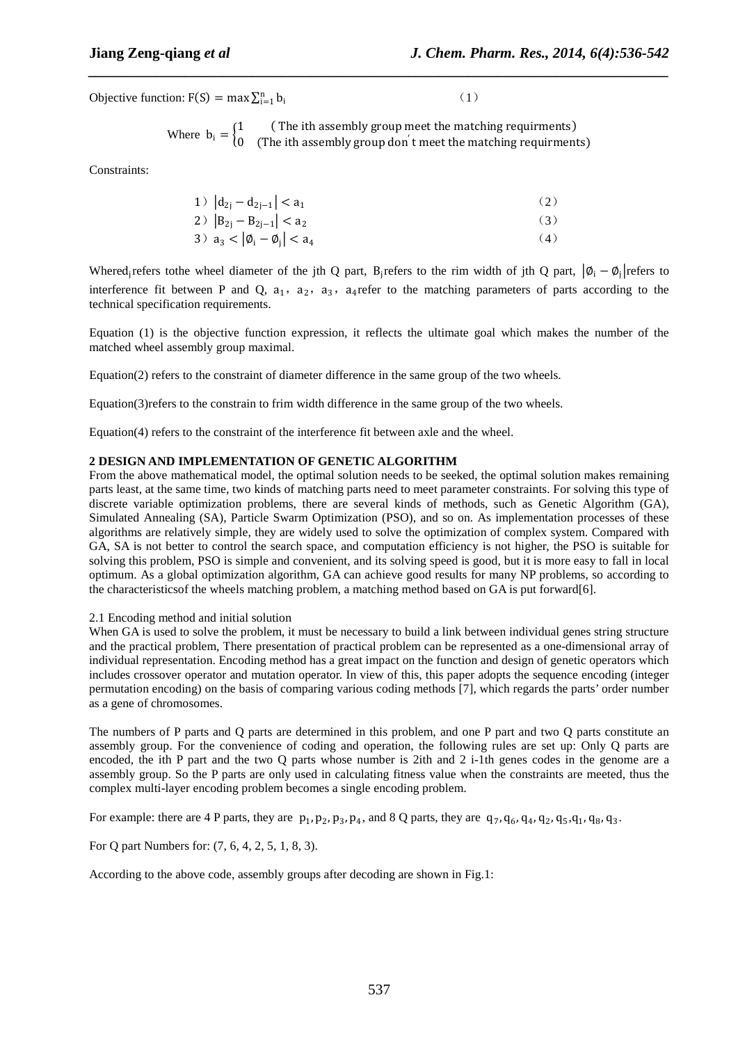Objective function:  $F(S) = \max \sum_{i=1}^{n} b_i$  $\sum_{i=1}^{n} b_i$  (1)

Where  $b_i = \begin{cases} 1 & \text{(The ith assembly group meet the matching requirements)} \\ 0 & \text{(The ith assembly group don't meet the matching requirements)} \end{cases}$ 0 (The ith assembly group don′ t meet the matching requirments)

*\_\_\_\_\_\_\_\_\_\_\_\_\_\_\_\_\_\_\_\_\_\_\_\_\_\_\_\_\_\_\_\_\_\_\_\_\_\_\_\_\_\_\_\_\_\_\_\_\_\_\_\_\_\_\_\_\_\_\_\_\_\_\_\_\_\_\_\_\_\_\_\_\_\_\_\_\_\_*

Constraints:

1) 
$$
|d_{2j} - d_{2j-1}| < a_1
$$
  
\n2)  $|B_{2j} - B_{2j-1}| < a_2$   
\n3)  $a_3 < |b_1 - b_j| < a_4$   
\n(4)

Whered<sub>i</sub>refers tothe wheel diameter of the jth Q part, B<sub>i</sub>refers to the rim width of jth Q part,  $|\phi_i - \phi_i|$ refers to interference fit between P and Q,  $a_1$ ,  $a_2$ ,  $a_3$ ,  $a_4$ refer to the matching parameters of parts according to the technical specification requirements.

Equation (1) is the objective function expression, it reflects the ultimate goal which makes the number of the matched wheel assembly group maximal.

Equation(2) refers to the constraint of diameter difference in the same group of the two wheels.

Equation(3)refers to the constrain to frim width difference in the same group of the two wheels.

Equation(4) refers to the constraint of the interference fit between axle and the wheel.

#### **2 DESIGN AND IMPLEMENTATION OF GENETIC ALGORITHM**

From the above mathematical model, the optimal solution needs to be seeked, the optimal solution makes remaining parts least, at the same time, two kinds of matching parts need to meet parameter constraints. For solving this type of discrete variable optimization problems, there are several kinds of methods, such as Genetic Algorithm (GA), Simulated Annealing (SA), Particle Swarm Optimization (PSO), and so on. As implementation processes of these algorithms are relatively simple, they are widely used to solve the optimization of complex system. Compared with GA, SA is not better to control the search space, and computation efficiency is not higher, the PSO is suitable for solving this problem, PSO is simple and convenient, and its solving speed is good, but it is more easy to fall in local optimum. As a global optimization algorithm, GA can achieve good results for many NP problems, so according to the characteristicsof the wheels matching problem, a matching method based on GA is put forward[6].

#### 2.1 Encoding method and initial solution

When GA is used to solve the problem, it must be necessary to build a link between individual genes string structure and the practical problem, There presentation of practical problem can be represented as a one-dimensional array of individual representation. Encoding method has a great impact on the function and design of genetic operators which includes crossover operator and mutation operator. In view of this, this paper adopts the sequence encoding (integer permutation encoding) on the basis of comparing various coding methods [7], which regards the parts' order number as a gene of chromosomes.

The numbers of P parts and Q parts are determined in this problem, and one P part and two Q parts constitute an assembly group. For the convenience of coding and operation, the following rules are set up: Only Q parts are encoded, the ith P part and the two Q parts whose number is 2ith and 2 i-1th genes codes in the genome are a assembly group. So the P parts are only used in calculating fitness value when the constraints are meeted, thus the complex multi-layer encoding problem becomes a single encoding problem.

For example: there are 4 P parts, they are  $p_1, p_2, p_3, p_4$ , and 8 Q parts, they are  $q_7, q_6, q_4, q_2, q_5, q_1, q_8, q_3$ .

For Q part Numbers for: (7, 6, 4, 2, 5, 1, 8, 3).

According to the above code, assembly groups after decoding are shown in Fig.1: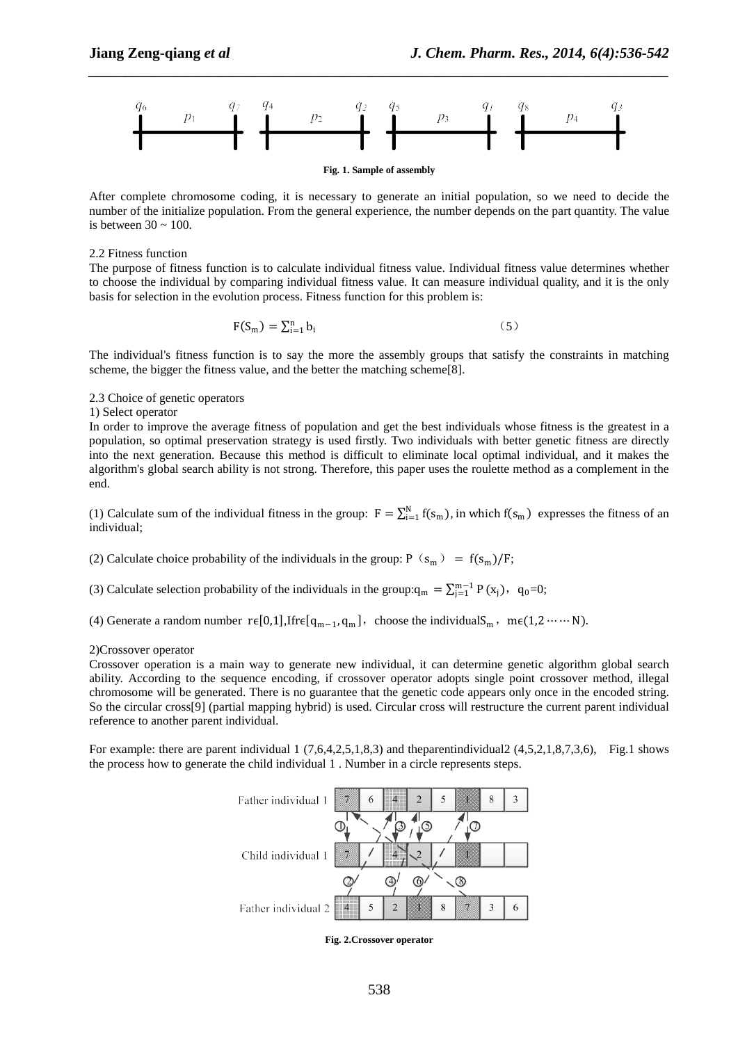

*\_\_\_\_\_\_\_\_\_\_\_\_\_\_\_\_\_\_\_\_\_\_\_\_\_\_\_\_\_\_\_\_\_\_\_\_\_\_\_\_\_\_\_\_\_\_\_\_\_\_\_\_\_\_\_\_\_\_\_\_\_\_\_\_\_\_\_\_\_\_\_\_\_\_\_\_\_\_*

**Fig. 1. Sample of assembly**

After complete chromosome coding, it is necessary to generate an initial population, so we need to decide the number of the initialize population. From the general experience, the number depends on the part quantity. The value is between  $30 \sim 100$ .

#### 2.2 Fitness function

The purpose of fitness function is to calculate individual fitness value. Individual fitness value determines whether to choose the individual by comparing individual fitness value. It can measure individual quality, and it is the only basis for selection in the evolution process. Fitness function for this problem is:

$$
F(S_m) = \sum_{i=1}^{n} b_i
$$
 (5)

The individual's fitness function is to say the more the assembly groups that satisfy the constraints in matching scheme, the bigger the fitness value, and the better the matching scheme[8].

2.3 Choice of genetic operators

#### 1) Select operator

In order to improve the average fitness of population and get the best individuals whose fitness is the greatest in a population, so optimal preservation strategy is used firstly. Two individuals with better genetic fitness are directly into the next generation. Because this method is difficult to eliminate local optimal individual, and it makes the algorithm's global search ability is not strong. Therefore, this paper uses the roulette method as a complement in the end.

(1) Calculate sum of the individual fitness in the group:  $F = \sum_{i=1}^{N} f(s_m)$ , in which  $f(s_m)$  expresses the fitness of an individual;

(2) Calculate choice probability of the individuals in the group:  $P(s_m) = f(s_m)/F$ ;

(3) Calculate selection probability of the individuals in the group: $q_m = \sum_{j=1}^{m-1} P(x_j)$ ,  $q_0=0$ ;

(4) Generate a random number  $r \in [0,1]$ , Ifr $\epsilon[q_{m-1}, q_m]$ , choose the individualS<sub>m</sub>, m $\epsilon(1,2 \cdots \cdots N)$ .

#### 2)Crossover operator

Crossover operation is a main way to generate new individual, it can determine genetic algorithm global search ability. According to the sequence encoding, if crossover operator adopts single point crossover method, illegal chromosome will be generated. There is no guarantee that the genetic code appears only once in the encoded string. So the circular cross[9] (partial mapping hybrid) is used. Circular cross will restructure the current parent individual reference to another parent individual.

For example: there are parent individual  $1$  (7,6,4,2,5,1,8,3) and the parentindividual  $2$  (4,5,2,1,8,7,3,6), Fig.1 shows the process how to generate the child individual 1 . Number in a circle represents steps.



**Fig. 2.Crossover operator**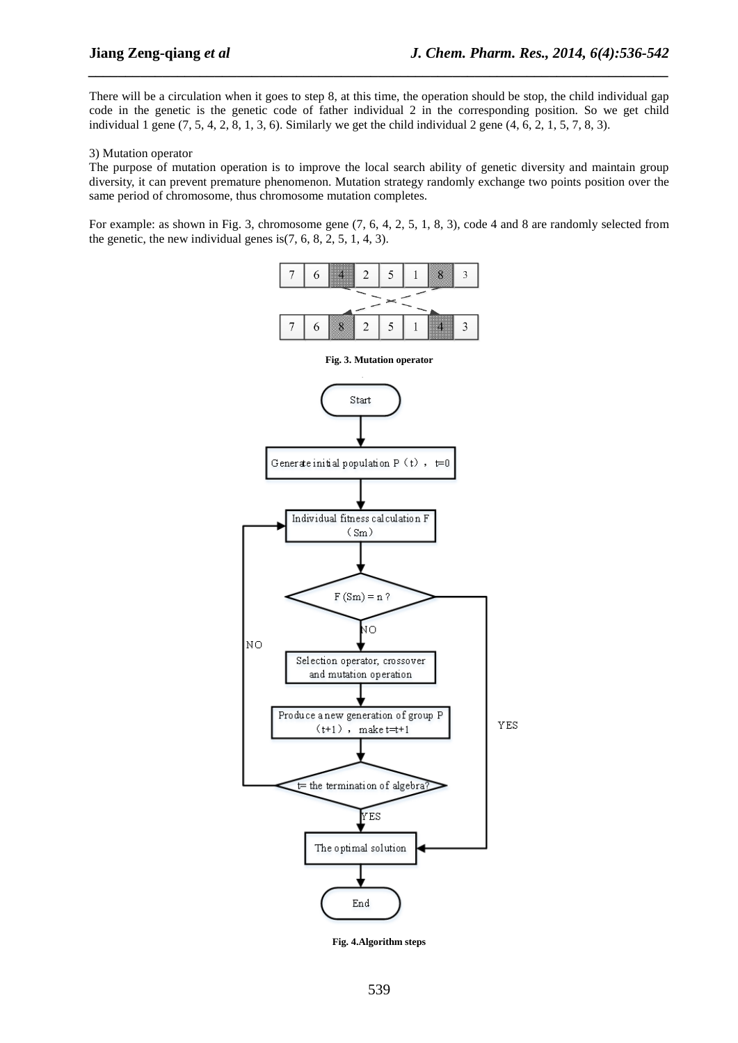There will be a circulation when it goes to step 8, at this time, the operation should be stop, the child individual gap code in the genetic is the genetic code of father individual 2 in the corresponding position. So we get child individual 1 gene  $(7, 5, 4, 2, 8, 1, 3, 6)$ . Similarly we get the child individual 2 gene  $(4, 6, 2, 1, 5, 7, 8, 3)$ .

*\_\_\_\_\_\_\_\_\_\_\_\_\_\_\_\_\_\_\_\_\_\_\_\_\_\_\_\_\_\_\_\_\_\_\_\_\_\_\_\_\_\_\_\_\_\_\_\_\_\_\_\_\_\_\_\_\_\_\_\_\_\_\_\_\_\_\_\_\_\_\_\_\_\_\_\_\_\_*

#### 3) Mutation operator

The purpose of mutation operation is to improve the local search ability of genetic diversity and maintain group diversity, it can prevent premature phenomenon. Mutation strategy randomly exchange two points position over the same period of chromosome, thus chromosome mutation completes.

For example: as shown in Fig. 3, chromosome gene  $(7, 6, 4, 2, 5, 1, 8, 3)$ , code 4 and 8 are randomly selected from the genetic, the new individual genes is $(7, 6, 8, 2, 5, 1, 4, 3)$ .



**Fig. 4.Algorithm steps**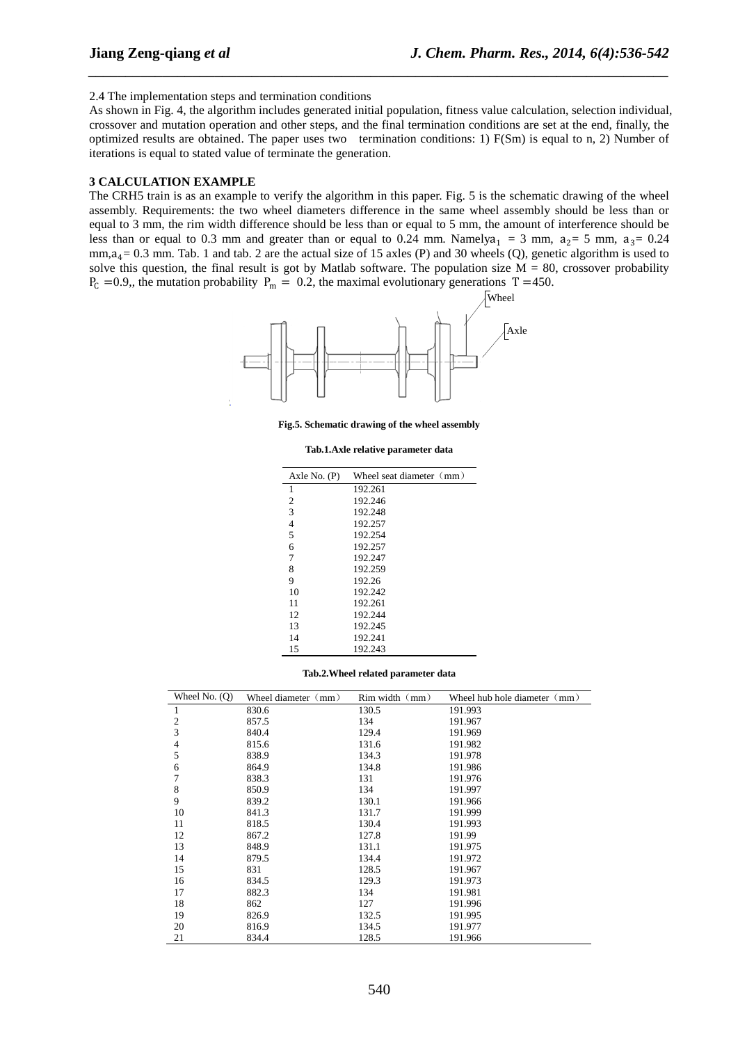#### 2.4 The implementation steps and termination conditions

As shown in Fig. 4, the algorithm includes generated initial population, fitness value calculation, selection individual, crossover and mutation operation and other steps, and the final termination conditions are set at the end, finally, the optimized results are obtained. The paper uses two termination conditions: 1) F(Sm) is equal to n, 2) Number of iterations is equal to stated value of terminate the generation.

*\_\_\_\_\_\_\_\_\_\_\_\_\_\_\_\_\_\_\_\_\_\_\_\_\_\_\_\_\_\_\_\_\_\_\_\_\_\_\_\_\_\_\_\_\_\_\_\_\_\_\_\_\_\_\_\_\_\_\_\_\_\_\_\_\_\_\_\_\_\_\_\_\_\_\_\_\_\_*

### **CALCULATION EXAMPLE**

The CRH5 train is as an example to verify the algorithm in this paper. Fig. 5 is the schematic drawing of the wheel assembly. Requirements: the two wheel diameters difference in the same wheel assembly should be less than or equal to 3 mm, the rim width difference should be less than or equal to 5 mm, the amount of interference should be less than or equal to 0.3 mm and greater than or equal to 0.24 mm. Namelya<sub>1</sub> = 3 mm,  $a_2 = 5$  mm,  $a_3 = 0.24$  $mm, a_4 = 0.3$  mm. Tab. 1 and tab. 2 are the actual size of 15 axles (P) and 30 wheels (Q), genetic algorithm is used to solve this question, the final result is got by Matlab software. The population size  $M = 80$ , crossover probability  $P_C = 0.9$ , the mutation probability  $P_m = 0.2$ , the maximal evolutionary generations T =450.



**Fig.5. Schematic drawing of the wheel assembly**

#### **Tab.1.Axle relative parameter data**

| Axle No. $(P)$ | Wheel seat diameter $\pmod{m}$ |
|----------------|--------------------------------|
| 1              | 192.261                        |
| 2              | 192.246                        |
| 3              | 192.248                        |
| 4              | 192.257                        |
| 5              | 192.254                        |
| 6              | 192.257                        |
| 7              | 192.247                        |
| 8              | 192.259                        |
| 9              | 192.26                         |
| 10             | 192.242                        |
| 11             | 192.261                        |
| 12             | 192.244                        |
| 13             | 192.245                        |
| 14             | 192.241                        |
| 15             | 192.243                        |

#### **Tab.2.Wheel related parameter data**

| Wheel No. $(Q)$ | Wheel diameter (mm) | $Rim$ width $(mm)$ | Wheel hub hole diameter $\pmod{m}$ |  |  |  |
|-----------------|---------------------|--------------------|------------------------------------|--|--|--|
| 1               | 830.6               | 130.5              | 191.993                            |  |  |  |
| 2               | 857.5               | 134                | 191.967                            |  |  |  |
| 3               | 840.4               | 129.4              | 191.969                            |  |  |  |
| 4               | 815.6               | 131.6              | 191.982                            |  |  |  |
| 5               | 838.9               | 134.3              | 191.978                            |  |  |  |
| 6               | 864.9               | 134.8              | 191.986                            |  |  |  |
| 7               | 838.3               | 131                | 191.976                            |  |  |  |
| 8               | 850.9               | 134                | 191.997                            |  |  |  |
| 9               | 839.2               | 130.1              | 191.966                            |  |  |  |
| 10              | 841.3               | 131.7              | 191.999                            |  |  |  |
| 11              | 818.5               | 130.4              | 191.993                            |  |  |  |
| 12              | 867.2               | 127.8              | 191.99                             |  |  |  |
| 13              | 848.9               | 131.1              | 191.975                            |  |  |  |
| 14              | 879.5               | 134.4              | 191.972                            |  |  |  |
| 15              | 831                 | 128.5              | 191.967                            |  |  |  |
| 16              | 834.5               | 129.3              | 191.973                            |  |  |  |
| 17              | 882.3               | 134                | 191.981                            |  |  |  |
| 18              | 862                 | 127                | 191.996                            |  |  |  |
| 19              | 826.9               | 132.5              | 191.995                            |  |  |  |
| 20              | 816.9               | 134.5              | 191.977                            |  |  |  |
| 21              | 834.4               | 128.5              | 191.966                            |  |  |  |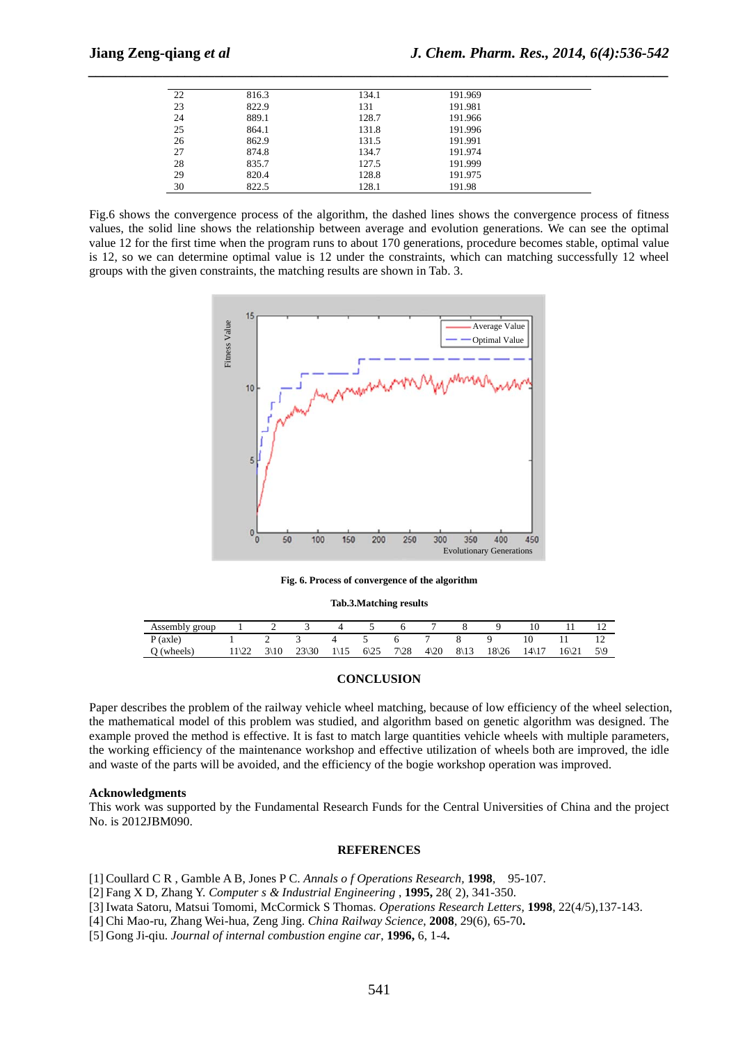| 22 | 816.3 | 134.1 | 191.969 |  |
|----|-------|-------|---------|--|
| 23 | 822.9 | 131   | 191.981 |  |
| 24 | 889.1 | 128.7 | 191.966 |  |
| 25 | 864.1 | 131.8 | 191.996 |  |
| 26 | 862.9 | 131.5 | 191.991 |  |
| 27 | 874.8 | 134.7 | 191.974 |  |
| 28 | 835.7 | 127.5 | 191.999 |  |
| 29 | 820.4 | 128.8 | 191.975 |  |
| 30 | 822.5 | 128.1 | 191.98  |  |

*\_\_\_\_\_\_\_\_\_\_\_\_\_\_\_\_\_\_\_\_\_\_\_\_\_\_\_\_\_\_\_\_\_\_\_\_\_\_\_\_\_\_\_\_\_\_\_\_\_\_\_\_\_\_\_\_\_\_\_\_\_\_\_\_\_\_\_\_\_\_\_\_\_\_\_\_\_\_*

Fig.6 shows the convergence process of the algorithm, the dashed lines shows the convergence process of fitness values, the solid line shows the relationship between average and evolution generations. We can see the optimal value 12 for the first time when the program runs to about 170 generations, procedure becomes stable, optimal value is 12, so we can determine optimal value is 12 under the constraints, which can matching successfully 12 wheel groups with the given constraints, the matching results are shown in Tab. 3.



**Fig. 6. Process of convergence of the algorithm**

#### **Tab.3.Matching results**

| Assembly group |      |   |                            |                 |              |                 |               |                 |                  |                   |       |   |
|----------------|------|---|----------------------------|-----------------|--------------|-----------------|---------------|-----------------|------------------|-------------------|-------|---|
| P (axle)       |      |   |                            |                 |              |                 |               |                 |                  |                   | . .   |   |
| (wheels)       | ستست | ◡ | $23\frac{30}{2}$<br>⊺ ا ⊂ے | $1\backslash15$ | $6\sqrt{25}$ | $7\backslash28$ | $4\langle 20$ | $8\backslash13$ | $18\frac{26}{2}$ | $14\overline{17}$ | 16\21 | ◡ |

### **CONCLUSION**

Paper describes the problem of the railway vehicle wheel matching, because of low efficiency of the wheel selection, the mathematical model of this problem was studied, and algorithm based on genetic algorithm was designed. The example proved the method is effective. It is fast to match large quantities vehicle wheels with multiple parameters, the working efficiency of the maintenance workshop and effective utilization of wheels both are improved, the idle and waste of the parts will be avoided, and the efficiency of the bogie workshop operation was improved.

#### **Acknowledgments**

This work was supported by the Fundamental Research Funds for the Central Universities of China and the project No. is 2012JBM090.

#### **REFERENCES**

[1] Coullard C R , Gamble A B, Jones P C. *Annals o f Operations Research,* **1998**, 95-107.

[2] Fang X D, Zhang Y. *Computer s & Industrial Engineering* , **1995,** 28( 2), 341-350.

[3] Iwata Satoru, Matsui Tomomi, McCormick S Thomas. *Operations Research Letters,* **1998**, 22(4/5),137-143.

[4] Chi Mao-ru, Zhang Wei-hua, Zeng Jing. *China Railway Science*, **2008**, 29(6), 65-70**.**

[5] Gong Ji-qiu. *Journal of internal combustion engine car*, **1996,** 6, 1-4**.**